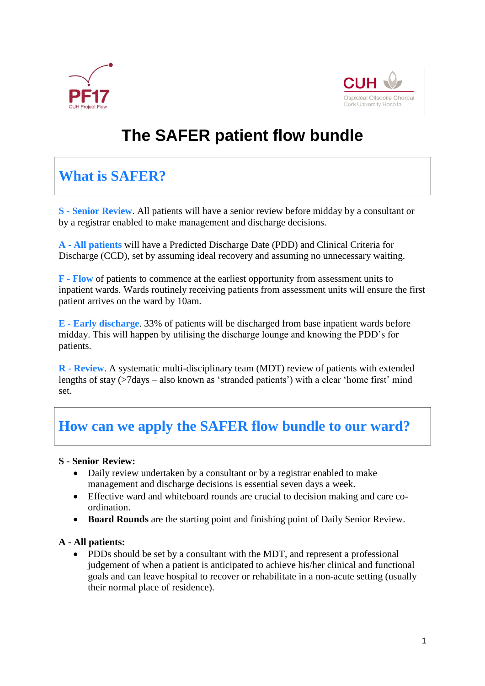



## **The SAFER patient flow bundle**

## **What is SAFER?**

**S - Senior Review**. All patients will have a senior review before midday by a consultant or by a registrar enabled to make management and discharge decisions.

**A - All patients** will have a Predicted Discharge Date (PDD) and Clinical Criteria for Discharge (CCD), set by assuming ideal recovery and assuming no unnecessary waiting.

**F - Flow** of patients to commence at the earliest opportunity from assessment units to inpatient wards. Wards routinely receiving patients from assessment units will ensure the first patient arrives on the ward by 10am.

**E - Early discharge**. 33% of patients will be discharged from base inpatient wards before midday. This will happen by utilising the discharge lounge and knowing the PDD's for patients.

**R - Review**. A systematic multi-disciplinary team (MDT) review of patients with extended lengths of stay (>7days – also known as 'stranded patients') with a clear 'home first' mind set.

### **How can we apply the SAFER flow bundle to our ward?**

#### **S - Senior Review:**

- Daily review undertaken by a consultant or by a registrar enabled to make management and discharge decisions is essential seven days a week.
- Effective ward and whiteboard rounds are crucial to decision making and care coordination.
- **Board Rounds** are the starting point and finishing point of Daily Senior Review.

#### **A - All patients:**

• PDDs should be set by a consultant with the MDT, and represent a professional judgement of when a patient is anticipated to achieve his/her clinical and functional goals and can leave hospital to recover or rehabilitate in a non-acute setting (usually their normal place of residence).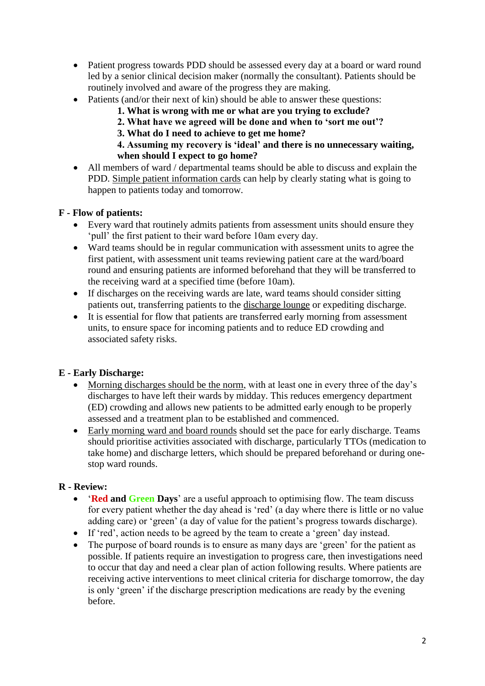- Patient progress towards PDD should be assessed every day at a board or ward round led by a senior clinical decision maker (normally the consultant). Patients should be routinely involved and aware of the progress they are making.
- Patients (and/or their next of kin) should be able to answer these questions:
	- **1. What is wrong with me or what are you trying to exclude?**
	- **2. What have we agreed will be done and when to 'sort me out'?**
	- **3. What do I need to achieve to get me home?**

**4. Assuming my recovery is 'ideal' and there is no unnecessary waiting, when should I expect to go home?**

 All members of ward / departmental teams should be able to discuss and explain the PDD. Simple patient information cards can help by clearly stating what is going to happen to patients today and tomorrow.

#### **F - Flow of patients:**

- Every ward that routinely admits patients from assessment units should ensure they 'pull' the first patient to their ward before 10am every day.
- Ward teams should be in regular communication with assessment units to agree the first patient, with assessment unit teams reviewing patient care at the ward/board round and ensuring patients are informed beforehand that they will be transferred to the receiving ward at a specified time (before 10am).
- If discharges on the receiving wards are late, ward teams should consider sitting patients out, transferring patients to the discharge lounge or expediting discharge.
- It is essential for flow that patients are transferred early morning from assessment units, to ensure space for incoming patients and to reduce ED crowding and associated safety risks.

#### **E - Early Discharge:**

- Morning discharges should be the norm, with at least one in every three of the day's discharges to have left their wards by midday. This reduces emergency department (ED) crowding and allows new patients to be admitted early enough to be properly assessed and a treatment plan to be established and commenced.
- Early morning ward and board rounds should set the pace for early discharge. Teams should prioritise activities associated with discharge, particularly TTOs (medication to take home) and discharge letters, which should be prepared beforehand or during onestop ward rounds.

#### **R - Review:**

- '**Red and Green Days**' are a useful approach to optimising flow. The team discuss for every patient whether the day ahead is 'red' (a day where there is little or no value adding care) or 'green' (a day of value for the patient's progress towards discharge).
- If 'red', action needs to be agreed by the team to create a 'green' day instead.
- The purpose of board rounds is to ensure as many days are 'green' for the patient as possible. If patients require an investigation to progress care, then investigations need to occur that day and need a clear plan of action following results. Where patients are receiving active interventions to meet clinical criteria for discharge tomorrow, the day is only 'green' if the discharge prescription medications are ready by the evening before.